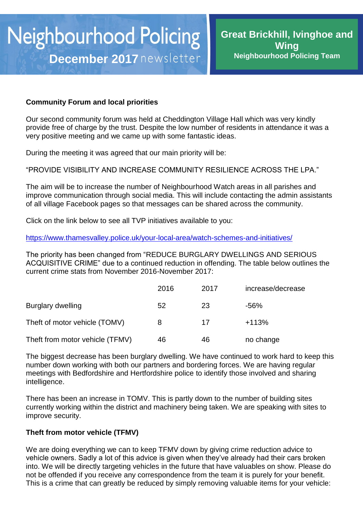### **Community Forum and local priorities**

Our second community forum was held at Cheddington Village Hall which was very kindly provide free of charge by the trust. Despite the low number of residents in attendance it was a very positive meeting and we came up with some fantastic ideas.

During the meeting it was agreed that our main priority will be:

"PROVIDE VISIBILITY AND INCREASE COMMUNITY RESILIENCE ACROSS THE LPA."

The aim will be to increase the number of Neighbourhood Watch areas in all parishes and improve communication through social media. This will include contacting the admin assistants of all village Facebook pages so that messages can be shared across the community.

Click on the link below to see all TVP initiatives available to you:

<https://www.thamesvalley.police.uk/your-local-area/watch-schemes-and-initiatives/>

The priority has been changed from "REDUCE BURGLARY DWELLINGS AND SERIOUS ACQUISITIVE CRIME" due to a continued reduction in offending. The table below outlines the current crime stats from November 2016-November 2017:

|                                 | 2016 | 2017 | increase/decrease |
|---------------------------------|------|------|-------------------|
| Burglary dwelling               | 52   | 23   | -56%              |
| Theft of motor vehicle (TOMV)   | 8    | 17   | $+113%$           |
| Theft from motor vehicle (TFMV) | 46   | 46   | no change         |

The biggest decrease has been burglary dwelling. We have continued to work hard to keep this number down working with both our partners and bordering forces. We are having regular meetings with Bedfordshire and Hertfordshire police to identify those involved and sharing intelligence.

There has been an increase in TOMV. This is partly down to the number of building sites currently working within the district and machinery being taken. We are speaking with sites to improve security.

### **Theft from motor vehicle (TFMV)**

We are doing everything we can to keep TFMV down by giving crime reduction advice to vehicle owners. Sadly a lot of this advice is given when they've already had their cars broken into. We will be directly targeting vehicles in the future that have valuables on show. Please do not be offended if you receive any correspondence from the team it is purely for your benefit. This is a crime that can greatly be reduced by simply removing valuable items for your vehicle: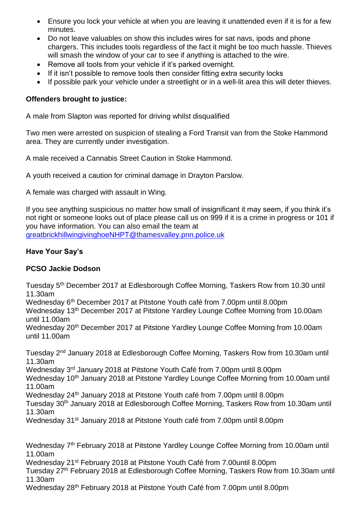- Ensure you lock your vehicle at when you are leaving it unattended even if it is for a few minutes.
- Do not leave valuables on show this includes wires for sat navs, ipods and phone chargers. This includes tools regardless of the fact it might be too much hassle. Thieves will smash the window of your car to see if anything is attached to the wire.
- Remove all tools from your vehicle if it's parked overnight.
- If it isn't possible to remove tools then consider fitting extra security locks
- If possible park your vehicle under a streetlight or in a well-lit area this will deter thieves.

### **Offenders brought to justice:**

A male from Slapton was reported for driving whilst disqualified

Two men were arrested on suspicion of stealing a Ford Transit van from the Stoke Hammond area. They are currently under investigation.

A male received a Cannabis Street Caution in Stoke Hammond.

A youth received a caution for criminal damage in Drayton Parslow.

A female was charged with assault in Wing.

If you see anything suspicious no matter how small of insignificant it may seem, if you think it's not right or someone looks out of place please call us on 999 if it is a crime in progress or 101 if you have information. You can also email the team at [greatbrickhillwingivinghoeNHPT@thamesvalley.pnn.police.uk](mailto:greatbrickhillwingivinghoeNHPT@thamesvalley.pnn.police.uk)

### **Have Your Say's**

### **PCSO Jackie Dodson**

Tuesday 5th December 2017 at Edlesborough Coffee Morning, Taskers Row from 10.30 until 11.30am Wednesday 6<sup>th</sup> December 2017 at Pitstone Youth café from 7.00pm until 8.00pm Wednesday 13th December 2017 at Pitstone Yardley Lounge Coffee Morning from 10.00am until 11.00am Wednesday 20<sup>th</sup> December 2017 at Pitstone Yardley Lounge Coffee Morning from 10.00am until 11.00am Tuesday 2nd January 2018 at Edlesborough Coffee Morning, Taskers Row from 10.30am until 11.30am Wednesday 3rd January 2018 at Pitstone Youth Café from 7.00pm until 8.00pm Wednesday 10<sup>th</sup> January 2018 at Pitstone Yardley Lounge Coffee Morning from 10.00am until 11.00am Wednesday 24th January 2018 at Pitstone Youth café from 7.00pm until 8.00pm Tuesday 30<sup>th</sup> January 2018 at Edlesborough Coffee Morning, Taskers Row from 10.30am until 11.30am Wednesday 31<sup>st</sup> January 2018 at Pitstone Youth café from 7.00pm until 8.00pm Wednesday 7<sup>th</sup> February 2018 at Pitstone Yardley Lounge Coffee Morning from 10.00am until 11.00am Wednesday 21st February 2018 at Pitstone Youth Café from 7.00until 8.00pm

Tuesday 27th February 2018 at Edlesborough Coffee Morning, Taskers Row from 10.30am until 11.30am

Wednesday 28th February 2018 at Pitstone Youth Café from 7.00pm until 8.00pm